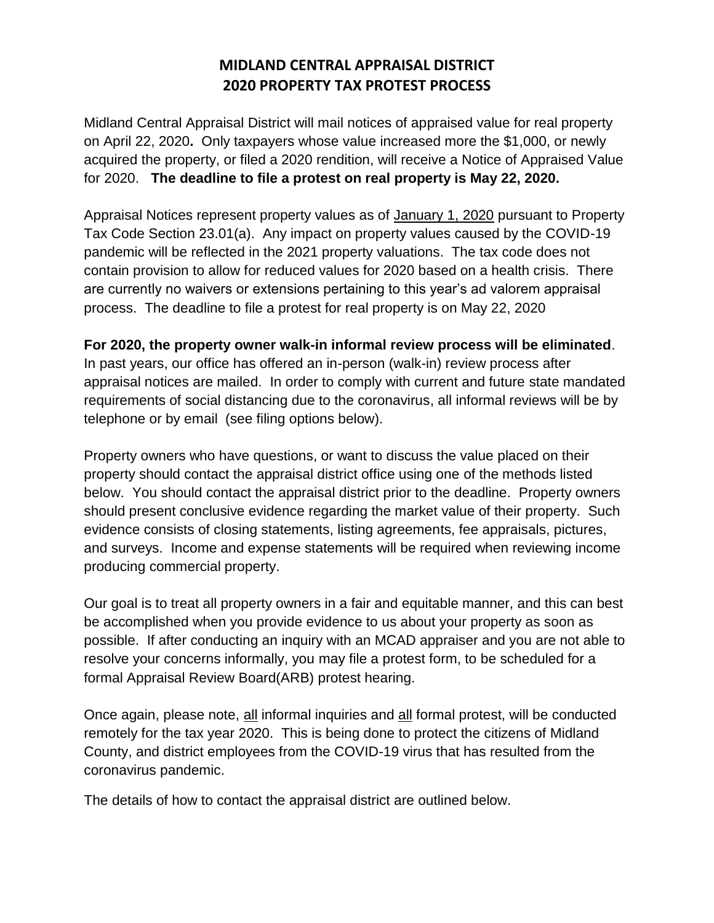### **MIDLAND CENTRAL APPRAISAL DISTRICT 2020 PROPERTY TAX PROTEST PROCESS**

Midland Central Appraisal District will mail notices of appraised value for real property on April 22, 2020**.** Only taxpayers whose value increased more the \$1,000, or newly acquired the property, or filed a 2020 rendition, will receive a Notice of Appraised Value for 2020. **The deadline to file a protest on real property is May 22, 2020.** 

Appraisal Notices represent property values as of January 1, 2020 pursuant to Property Tax Code Section 23.01(a). Any impact on property values caused by the COVID-19 pandemic will be reflected in the 2021 property valuations. The tax code does not contain provision to allow for reduced values for 2020 based on a health crisis. There are currently no waivers or extensions pertaining to this year's ad valorem appraisal process. The deadline to file a protest for real property is on May 22, 2020

#### **For 2020, the property owner walk-in informal review process will be eliminated**.

In past years, our office has offered an in-person (walk-in) review process after appraisal notices are mailed. In order to comply with current and future state mandated requirements of social distancing due to the coronavirus, all informal reviews will be by telephone or by email (see filing options below).

Property owners who have questions, or want to discuss the value placed on their property should contact the appraisal district office using one of the methods listed below. You should contact the appraisal district prior to the deadline. Property owners should present conclusive evidence regarding the market value of their property. Such evidence consists of closing statements, listing agreements, fee appraisals, pictures, and surveys. Income and expense statements will be required when reviewing income producing commercial property.

Our goal is to treat all property owners in a fair and equitable manner, and this can best be accomplished when you provide evidence to us about your property as soon as possible. If after conducting an inquiry with an MCAD appraiser and you are not able to resolve your concerns informally, you may file a protest form, to be scheduled for a formal Appraisal Review Board(ARB) protest hearing.

Once again, please note, all informal inquiries and all formal protest, will be conducted remotely for the tax year 2020. This is being done to protect the citizens of Midland County, and district employees from the COVID-19 virus that has resulted from the coronavirus pandemic.

The details of how to contact the appraisal district are outlined below.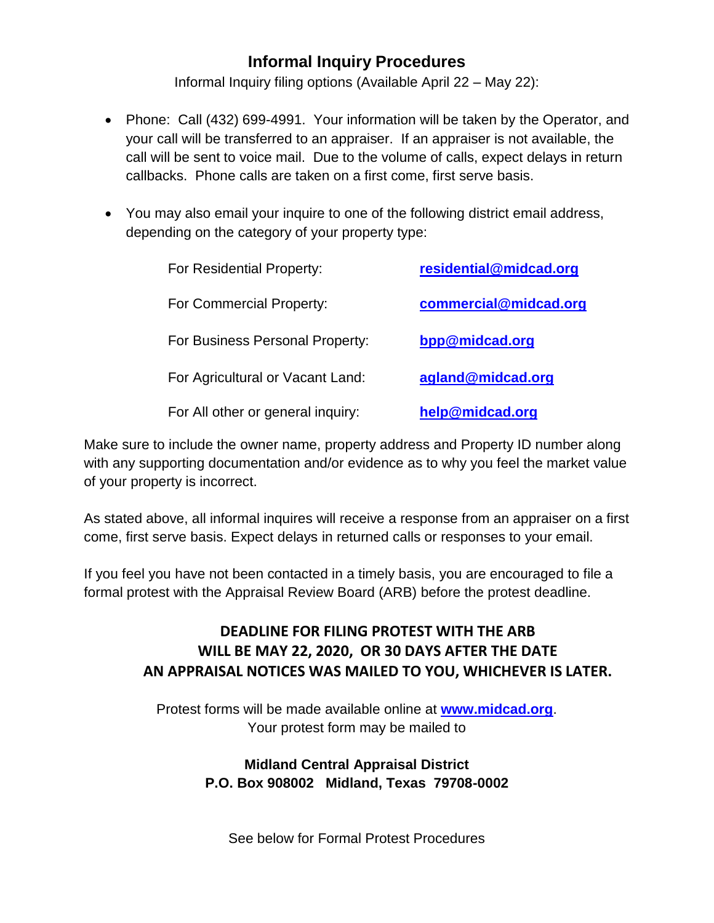## **Informal Inquiry Procedures**

Informal Inquiry filing options (Available April 22 – May 22):

- Phone: Call (432) 699-4991. Your information will be taken by the Operator, and your call will be transferred to an appraiser. If an appraiser is not available, the call will be sent to voice mail. Due to the volume of calls, expect delays in return callbacks. Phone calls are taken on a first come, first serve basis.
- You may also email your inquire to one of the following district email address, depending on the category of your property type:

| For Residential Property:         | residential@midcad.org |
|-----------------------------------|------------------------|
| For Commercial Property:          | commercial@midcad.org  |
| For Business Personal Property:   | bpp@midcad.org         |
| For Agricultural or Vacant Land:  | agland@midcad.org      |
| For All other or general inquiry: | help@midcad.org        |

Make sure to include the owner name, property address and Property ID number along with any supporting documentation and/or evidence as to why you feel the market value of your property is incorrect.

As stated above, all informal inquires will receive a response from an appraiser on a first come, first serve basis. Expect delays in returned calls or responses to your email.

If you feel you have not been contacted in a timely basis, you are encouraged to file a formal protest with the Appraisal Review Board (ARB) before the protest deadline.

### **DEADLINE FOR FILING PROTEST WITH THE ARB WILL BE MAY 22, 2020, OR 30 DAYS AFTER THE DATE AN APPRAISAL NOTICES WAS MAILED TO YOU, WHICHEVER IS LATER.**

Protest forms will be made available online at **[www.midcad.org](http://www.midcad.org/)**. Your protest form may be mailed to

### **Midland Central Appraisal District P.O. Box 908002 Midland, Texas 79708-0002**

See below for Formal Protest Procedures